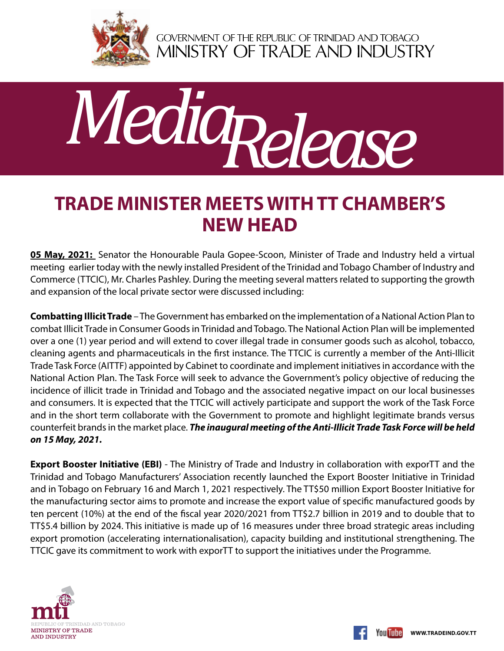

GOVERNMENT OF THE REPUBLIC OF TRINIDAD AND TOBAGO<br>MINISTRY OF TRADE AND INDUSTRY



## **Trade Minister meets with TT Chamber's new Head**

**05 May, 2021:** Senator the Honourable Paula Gopee-Scoon, Minister of Trade and Industry held a virtual meeting earlier today with the newly installed President of the Trinidad and Tobago Chamber of Industry and Commerce (TTCIC), Mr. Charles Pashley. During the meeting several matters related to supporting the growth and expansion of the local private sector were discussed including:

**Combatting Illicit Trade** – The Government has embarked on the implementation of a National Action Plan to combat Illicit Trade in Consumer Goods in Trinidad and Tobago. The National Action Plan will be implemented over a one (1) year period and will extend to cover illegal trade in consumer goods such as alcohol, tobacco, cleaning agents and pharmaceuticals in the first instance. The TTCIC is currently a member of the Anti-Illicit Trade Task Force (AITTF) appointed by Cabinet to coordinate and implement initiatives in accordance with the National Action Plan. The Task Force will seek to advance the Government's policy objective of reducing the incidence of illicit trade in Trinidad and Tobago and the associated negative impact on our local businesses and consumers. It is expected that the TTCIC will actively participate and support the work of the Task Force and in the short term collaborate with the Government to promote and highlight legitimate brands versus counterfeit brands in the market place. *The inaugural meeting of the Anti-Illicit Trade Task Force will be held on 15 May, 2021.* 

**Export Booster Initiative (EBI)** - The Ministry of Trade and Industry in collaboration with exporTT and the Trinidad and Tobago Manufacturers' Association recently launched the Export Booster Initiative in Trinidad and in Tobago on February 16 and March 1, 2021 respectively. The TT\$50 million Export Booster Initiative for the manufacturing sector aims to promote and increase the export value of specific manufactured goods by ten percent (10%) at the end of the fiscal year 2020/2021 from TT\$2.7 billion in 2019 and to double that to TT\$5.4 billion by 2024. This initiative is made up of 16 measures under three broad strategic areas including export promotion (accelerating internationalisation), capacity building and institutional strengthening. The TTCIC gave its commitment to work with exporTT to support the initiatives under the Programme.